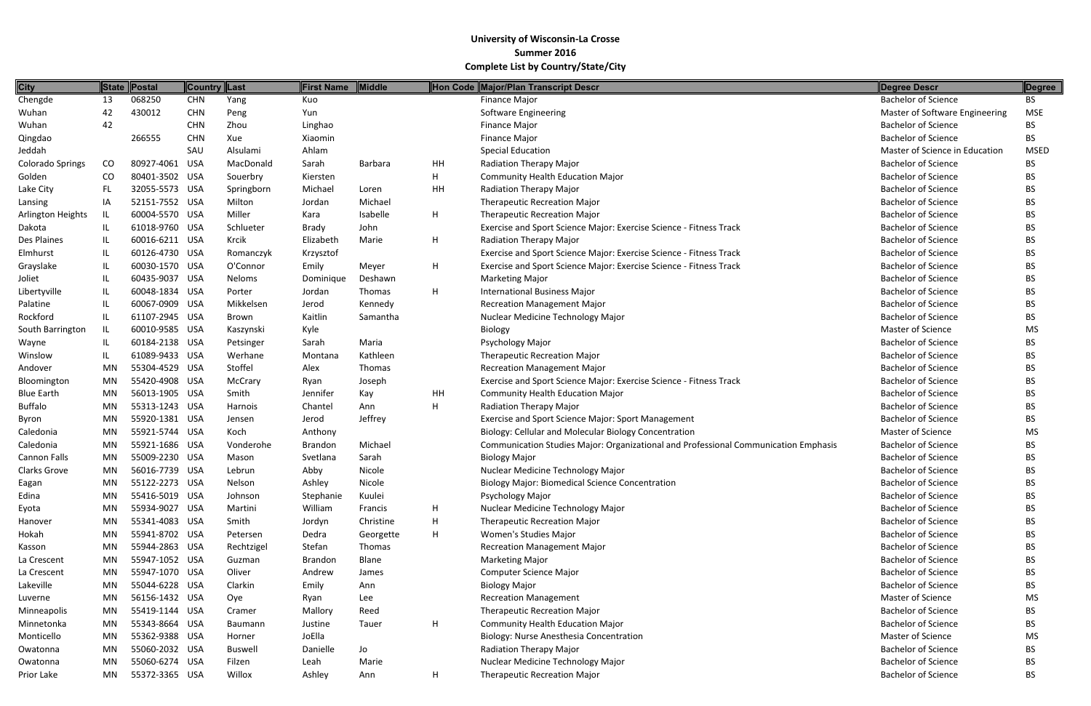| <b>City</b>         |           | State Postal   | <b>Country Last</b> |                | <b>First Name</b> | <b>Middle</b>  |    | Hon Code Major/Plan Transcript Descr                                                | Degree Descr                   | Degree      |
|---------------------|-----------|----------------|---------------------|----------------|-------------------|----------------|----|-------------------------------------------------------------------------------------|--------------------------------|-------------|
| Chengde             | 13        | 068250         | <b>CHN</b>          | Yang           | Kuo               |                |    | <b>Finance Major</b>                                                                | <b>Bachelor of Science</b>     | BS          |
| Wuhan               | 42        | 430012         | <b>CHN</b>          | Peng           | Yun               |                |    | Software Engineering                                                                | Master of Software Engineering | <b>MSE</b>  |
| Wuhan               | 42        |                | <b>CHN</b>          | Zhou           | Linghao           |                |    | Finance Major                                                                       | <b>Bachelor of Science</b>     | BS          |
| Qingdao             |           | 266555         | <b>CHN</b>          | Xue            | Xiaomin           |                |    | <b>Finance Major</b>                                                                | <b>Bachelor of Science</b>     | <b>BS</b>   |
| Jeddah              |           |                | SAU                 | Alsulami       | Ahlam             |                |    | <b>Special Education</b>                                                            | Master of Science in Education | <b>MSED</b> |
| Colorado Springs    | CO        | 80927-4061 USA |                     | MacDonald      | Sarah             | <b>Barbara</b> | HH | Radiation Therapy Major                                                             | <b>Bachelor of Science</b>     | <b>BS</b>   |
| Golden              | CO.       | 80401-3502 USA |                     | Souerbry       | Kiersten          |                | H  | <b>Community Health Education Major</b>                                             | <b>Bachelor of Science</b>     | <b>BS</b>   |
| Lake City           | FL.       | 32055-5573 USA |                     | Springborn     | Michael           | Loren          | HH | Radiation Therapy Major                                                             | <b>Bachelor of Science</b>     | <b>BS</b>   |
| Lansing             | IA        | 52151-7552 USA |                     | Milton         | Jordan            | Michael        |    | <b>Therapeutic Recreation Major</b>                                                 | <b>Bachelor of Science</b>     | <b>BS</b>   |
| Arlington Heights   | IL        | 60004-5570 USA |                     | Miller         | Kara              | Isabelle       | H  | <b>Therapeutic Recreation Major</b>                                                 | <b>Bachelor of Science</b>     | <b>BS</b>   |
| Dakota              | IL.       | 61018-9760 USA |                     | Schlueter      | <b>Brady</b>      | John           |    | Exercise and Sport Science Major: Exercise Science - Fitness Track                  | <b>Bachelor of Science</b>     | <b>BS</b>   |
| Des Plaines         | IL        | 60016-6211 USA |                     | Krcik          | Elizabeth         | Marie          | H  | Radiation Therapy Major                                                             | <b>Bachelor of Science</b>     | <b>BS</b>   |
| Elmhurst            | IL        | 60126-4730 USA |                     | Romanczyk      | Krzysztof         |                |    | Exercise and Sport Science Major: Exercise Science - Fitness Track                  | <b>Bachelor of Science</b>     | <b>BS</b>   |
| Grayslake           | IL.       | 60030-1570 USA |                     | O'Connor       | Emily             | Meyer          | H  | Exercise and Sport Science Major: Exercise Science - Fitness Track                  | <b>Bachelor of Science</b>     | <b>BS</b>   |
| Joliet              | IL.       | 60435-9037 USA |                     | <b>Neloms</b>  | Dominique         | Deshawn        |    | <b>Marketing Major</b>                                                              | <b>Bachelor of Science</b>     | <b>BS</b>   |
| Libertyville        | IL.       | 60048-1834 USA |                     | Porter         | Jordan            | Thomas         | H  | International Business Major                                                        | <b>Bachelor of Science</b>     | <b>BS</b>   |
| Palatine            | IL.       | 60067-0909 USA |                     | Mikkelsen      | Jerod             | Kennedy        |    | <b>Recreation Management Major</b>                                                  | <b>Bachelor of Science</b>     | BS          |
| Rockford            | IL        | 61107-2945 USA |                     | Brown          | Kaitlin           | Samantha       |    | Nuclear Medicine Technology Major                                                   | <b>Bachelor of Science</b>     | <b>BS</b>   |
| South Barrington    | IL.       | 60010-9585 USA |                     | Kaszynski      | Kyle              |                |    | Biology                                                                             | Master of Science              | <b>MS</b>   |
| Wayne               | IL.       | 60184-2138 USA |                     | Petsinger      | Sarah             | Maria          |    | Psychology Major                                                                    | <b>Bachelor of Science</b>     | <b>BS</b>   |
| Winslow             | IL        | 61089-9433 USA |                     | Werhane        | Montana           | Kathleen       |    | <b>Therapeutic Recreation Major</b>                                                 | <b>Bachelor of Science</b>     | <b>BS</b>   |
| Andover             | MN        | 55304-4529 USA |                     | Stoffel        | Alex              | Thomas         |    | <b>Recreation Management Major</b>                                                  | <b>Bachelor of Science</b>     | BS          |
| Bloomington         | MN        | 55420-4908 USA |                     | McCrary        | Ryan              | Joseph         |    | Exercise and Sport Science Major: Exercise Science - Fitness Track                  | <b>Bachelor of Science</b>     | <b>BS</b>   |
| <b>Blue Earth</b>   | <b>MN</b> | 56013-1905 USA |                     | Smith          | Jennifer          | Kay            | HH | <b>Community Health Education Major</b>                                             | <b>Bachelor of Science</b>     | <b>BS</b>   |
| <b>Buffalo</b>      | <b>MN</b> | 55313-1243 USA |                     | Harnois        | Chantel           | Ann            | H  | Radiation Therapy Major                                                             | <b>Bachelor of Science</b>     | <b>BS</b>   |
| Byron               | MN        | 55920-1381 USA |                     | Jensen         | Jerod             | Jeffrey        |    | Exercise and Sport Science Major: Sport Management                                  | <b>Bachelor of Science</b>     | <b>BS</b>   |
| Caledonia           | <b>MN</b> | 55921-5744 USA |                     | Koch           | Anthony           |                |    | Biology: Cellular and Molecular Biology Concentration                               | Master of Science              | <b>MS</b>   |
| Caledonia           | <b>MN</b> | 55921-1686 USA |                     | Vonderohe      | <b>Brandon</b>    | Michael        |    | Communication Studies Major: Organizational and Professional Communication Emphasis | <b>Bachelor of Science</b>     | <b>BS</b>   |
| <b>Cannon Falls</b> | MN        | 55009-2230 USA |                     | Mason          | Svetlana          | Sarah          |    | <b>Biology Major</b>                                                                | <b>Bachelor of Science</b>     | <b>BS</b>   |
| Clarks Grove        | MN        | 56016-7739 USA |                     | Lebrun         | Abby              | Nicole         |    | Nuclear Medicine Technology Major                                                   | <b>Bachelor of Science</b>     | <b>BS</b>   |
| Eagan               | MN        | 55122-2273 USA |                     | Nelson         | Ashley            | Nicole         |    | <b>Biology Major: Biomedical Science Concentration</b>                              | <b>Bachelor of Science</b>     | <b>BS</b>   |
| Edina               | MN        | 55416-5019 USA |                     | Johnson        | Stephanie         | Kuulei         |    | Psychology Major                                                                    | <b>Bachelor of Science</b>     | <b>BS</b>   |
| Eyota               | MN        | 55934-9027 USA |                     | Martini        | William           | Francis        | H  | Nuclear Medicine Technology Major                                                   | <b>Bachelor of Science</b>     | BS          |
| Hanover             | MN        | 55341-4083 USA |                     | Smith          | Jordyn            | Christine      | H  | <b>Therapeutic Recreation Major</b>                                                 | <b>Bachelor of Science</b>     | <b>BS</b>   |
| Hokah               | MN        | 55941-8702 USA |                     | Petersen       | Dedra             | Georgette      | H  | Women's Studies Major                                                               | <b>Bachelor of Science</b>     | BS          |
| Kasson              | MN        | 55944-2863 USA |                     | Rechtzigel     | Stefan            | Thomas         |    | <b>Recreation Management Major</b>                                                  | <b>Bachelor of Science</b>     | BS          |
| La Crescent         | MN        | 55947-1052 USA |                     | Guzman         | Brandon           | Blane          |    | <b>Marketing Major</b>                                                              | <b>Bachelor of Science</b>     | BS          |
| La Crescent         | MN        | 55947-1070 USA |                     | Oliver         | Andrew            | James          |    | Computer Science Major                                                              | <b>Bachelor of Science</b>     | <b>BS</b>   |
| Lakeville           | MN        | 55044-6228 USA |                     | Clarkin        | Emily             | Ann            |    | <b>Biology Major</b>                                                                | <b>Bachelor of Science</b>     | <b>BS</b>   |
| Luverne             | MN        | 56156-1432 USA |                     | Oye            | Ryan              | Lee            |    | <b>Recreation Management</b>                                                        | <b>Master of Science</b>       | <b>MS</b>   |
| Minneapolis         | MN        | 55419-1144 USA |                     | Cramer         | Mallory           | Reed           |    | Therapeutic Recreation Major                                                        | <b>Bachelor of Science</b>     | <b>BS</b>   |
| Minnetonka          | MN        | 55343-8664 USA |                     | Baumann        | Justine           | Tauer          | H  | <b>Community Health Education Major</b>                                             | <b>Bachelor of Science</b>     | <b>BS</b>   |
| Monticello          | MN        | 55362-9388 USA |                     | Horner         | JoElla            |                |    | Biology: Nurse Anesthesia Concentration                                             | Master of Science              | MS          |
| Owatonna            | MN        | 55060-2032 USA |                     | <b>Buswell</b> | Danielle          | Jo             |    | Radiation Therapy Major                                                             | <b>Bachelor of Science</b>     | <b>BS</b>   |
| Owatonna            | MN        | 55060-6274 USA |                     | Filzen         | Leah              | Marie          |    | Nuclear Medicine Technology Major                                                   | <b>Bachelor of Science</b>     | <b>BS</b>   |
| Prior Lake          | MN        | 55372-3365 USA |                     | Willox         | Ashley            | Ann            | H  | <b>Therapeutic Recreation Major</b>                                                 | <b>Bachelor of Science</b>     | BS          |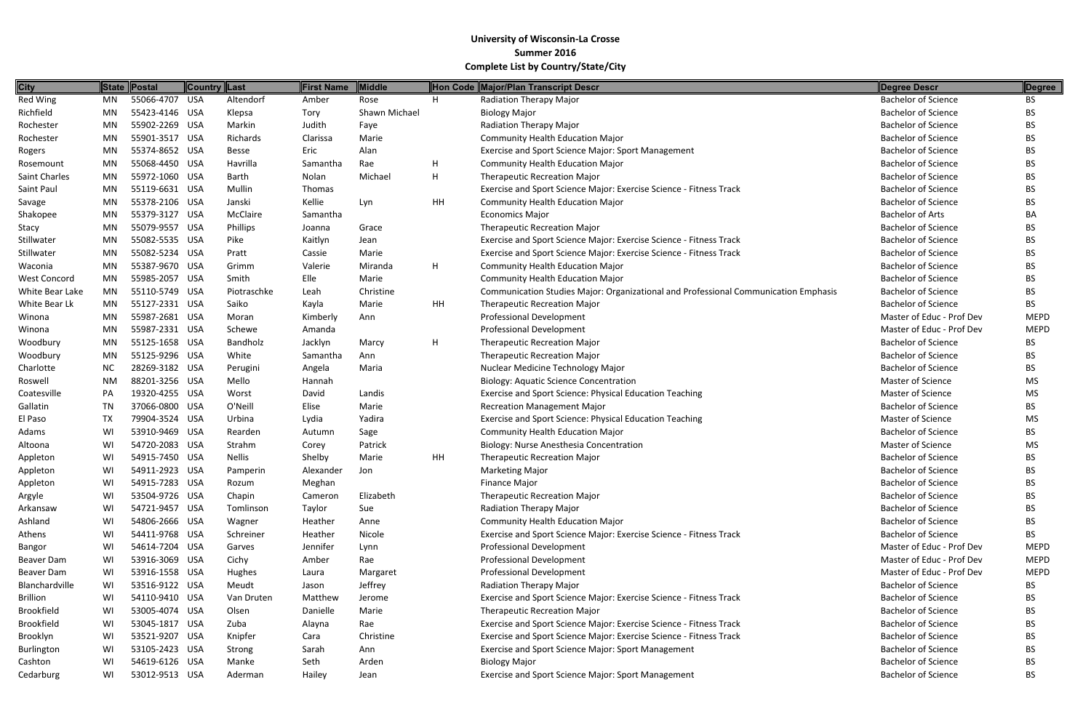| <b>City</b>         |           | State Postal   | Country Last |               | <b>First Name</b> | Middle        |           | Hon Code Major/Plan Transcript Descr                                                | <b>Degree Descr</b>        | Degree      |
|---------------------|-----------|----------------|--------------|---------------|-------------------|---------------|-----------|-------------------------------------------------------------------------------------|----------------------------|-------------|
| Red Wing            | MN        | 55066-4707 USA |              | Altendorf     | Amber             | Rose          | H.        | Radiation Therapy Major                                                             | <b>Bachelor of Science</b> | <b>BS</b>   |
| Richfield           | MN        | 55423-4146 USA |              | Klepsa        | Tory              | Shawn Michael |           | <b>Biology Major</b>                                                                | <b>Bachelor of Science</b> | BS          |
| Rochester           | <b>MN</b> | 55902-2269 USA |              | Markin        | Judith            | Faye          |           | Radiation Therapy Major                                                             | <b>Bachelor of Science</b> | <b>BS</b>   |
| Rochester           | MN        | 55901-3517 USA |              | Richards      | Clarissa          | Marie         |           | <b>Community Health Education Major</b>                                             | <b>Bachelor of Science</b> | <b>BS</b>   |
| Rogers              | MN        | 55374-8652 USA |              | <b>Besse</b>  | Eric              | Alan          |           | Exercise and Sport Science Major: Sport Management                                  | <b>Bachelor of Science</b> | BS          |
| Rosemount           | MN        | 55068-4450 USA |              | Havrilla      | Samantha          | Rae           | H.        | <b>Community Health Education Major</b>                                             | <b>Bachelor of Science</b> | <b>BS</b>   |
| Saint Charles       | MN        | 55972-1060 USA |              | <b>Barth</b>  | Nolan             | Michael       | H         | <b>Therapeutic Recreation Major</b>                                                 | <b>Bachelor of Science</b> | <b>BS</b>   |
| Saint Paul          | <b>MN</b> | 55119-6631 USA |              | Mullin        | Thomas            |               |           | Exercise and Sport Science Major: Exercise Science - Fitness Track                  | <b>Bachelor of Science</b> | <b>BS</b>   |
| Savage              | MN        | 55378-2106 USA |              | Janski        | Kellie            | Lyn           | <b>HH</b> | <b>Community Health Education Major</b>                                             | <b>Bachelor of Science</b> | <b>BS</b>   |
| Shakopee            | MN        | 55379-3127 USA |              | McClaire      | Samantha          |               |           | <b>Economics Major</b>                                                              | <b>Bachelor of Arts</b>    | BA          |
| Stacy               | MN        | 55079-9557 USA |              | Phillips      | Joanna            | Grace         |           | <b>Therapeutic Recreation Major</b>                                                 | <b>Bachelor of Science</b> | <b>BS</b>   |
| Stillwater          | MN        | 55082-5535 USA |              | Pike          | Kaitlyn           | Jean          |           | Exercise and Sport Science Major: Exercise Science - Fitness Track                  | <b>Bachelor of Science</b> | <b>BS</b>   |
| Stillwater          | <b>MN</b> | 55082-5234 USA |              | Pratt         | Cassie            | Marie         |           | Exercise and Sport Science Major: Exercise Science - Fitness Track                  | <b>Bachelor of Science</b> | <b>BS</b>   |
| Waconia             | MN        | 55387-9670 USA |              | Grimm         | Valerie           | Miranda       | H         | <b>Community Health Education Major</b>                                             | <b>Bachelor of Science</b> | <b>BS</b>   |
| <b>West Concord</b> | MN        | 55985-2057 USA |              | Smith         | Elle              | Marie         |           | <b>Community Health Education Major</b>                                             | <b>Bachelor of Science</b> | <b>BS</b>   |
| White Bear Lake     | MN        | 55110-5749 USA |              | Piotraschke   | Leah              | Christine     |           | Communication Studies Major: Organizational and Professional Communication Emphasis | <b>Bachelor of Science</b> | BS          |
| White Bear Lk       | MN        | 55127-2331 USA |              | Saiko         | Kayla             | Marie         | <b>HH</b> | <b>Therapeutic Recreation Major</b>                                                 | <b>Bachelor of Science</b> | <b>BS</b>   |
| Winona              | MN        | 55987-2681 USA |              | Moran         | Kimberly          | Ann           |           | <b>Professional Development</b>                                                     | Master of Educ - Prof Dev  | <b>MEPD</b> |
| Winona              | MN        | 55987-2331 USA |              | Schewe        | Amanda            |               |           | <b>Professional Development</b>                                                     | Master of Educ - Prof Dev  | <b>MEPD</b> |
| Woodbury            | MN        | 55125-1658 USA |              | Bandholz      | Jacklyn           | Marcy         | H         | <b>Therapeutic Recreation Major</b>                                                 | <b>Bachelor of Science</b> | <b>BS</b>   |
| Woodbury            | <b>MN</b> | 55125-9296 USA |              | White         | Samantha          | Ann           |           | <b>Therapeutic Recreation Major</b>                                                 | <b>Bachelor of Science</b> | <b>BS</b>   |
| Charlotte           | <b>NC</b> | 28269-3182 USA |              | Perugini      | Angela            | Maria         |           | Nuclear Medicine Technology Major                                                   | <b>Bachelor of Science</b> | <b>BS</b>   |
| Roswell             | <b>NM</b> | 88201-3256 USA |              | Mello         | Hannah            |               |           | <b>Biology: Aquatic Science Concentration</b>                                       | <b>Master of Science</b>   | <b>MS</b>   |
| Coatesville         | PA        | 19320-4255 USA |              | Worst         | David             | Landis        |           | Exercise and Sport Science: Physical Education Teaching                             | Master of Science          | <b>MS</b>   |
| Gallatin            | <b>TN</b> | 37066-0800 USA |              | O'Neill       | Elise             | Marie         |           | <b>Recreation Management Major</b>                                                  | <b>Bachelor of Science</b> | <b>BS</b>   |
| El Paso             | TX        | 79904-3524 USA |              | Urbina        | Lydia             | Yadira        |           | Exercise and Sport Science: Physical Education Teaching                             | Master of Science          | MS          |
| Adams               | WI        | 53910-9469 USA |              | Rearden       | Autumn            | Sage          |           | <b>Community Health Education Major</b>                                             | <b>Bachelor of Science</b> | <b>BS</b>   |
| Altoona             | WI        | 54720-2083 USA |              | Strahm        | Corey             | Patrick       |           | Biology: Nurse Anesthesia Concentration                                             | Master of Science          | MS          |
| Appleton            | WI        | 54915-7450 USA |              | <b>Nellis</b> | Shelby            | Marie         | <b>HH</b> | <b>Therapeutic Recreation Major</b>                                                 | <b>Bachelor of Science</b> | <b>BS</b>   |
| Appleton            | WI        | 54911-2923 USA |              | Pamperin      | Alexander         | Jon           |           | <b>Marketing Major</b>                                                              | <b>Bachelor of Science</b> | <b>BS</b>   |
| Appleton            | WI        | 54915-7283 USA |              | Rozum         | Meghan            |               |           | Finance Major                                                                       | <b>Bachelor of Science</b> | <b>BS</b>   |
| Argyle              | WI        | 53504-9726 USA |              | Chapin        | Cameron           | Elizabeth     |           | <b>Therapeutic Recreation Major</b>                                                 | <b>Bachelor of Science</b> | <b>BS</b>   |
| Arkansaw            | WI        | 54721-9457 USA |              | Tomlinson     | Taylor            | Sue           |           | Radiation Therapy Major                                                             | <b>Bachelor of Science</b> | <b>BS</b>   |
| Ashland             | WI        | 54806-2666 USA |              | Wagner        | Heather           | Anne          |           | <b>Community Health Education Major</b>                                             | <b>Bachelor of Science</b> | <b>BS</b>   |
| Athens              | WI        | 54411-9768 USA |              | Schreiner     | Heather           | Nicole        |           | Exercise and Sport Science Major: Exercise Science - Fitness Track                  | <b>Bachelor of Science</b> | <b>BS</b>   |
| Bangor              | WI        | 54614-7204 USA |              | Garves        | Jennifer          | Lynn          |           | <b>Professional Development</b>                                                     | Master of Educ - Prof Dev  | <b>MEPD</b> |
| Beaver Dam          | WI        | 53916-3069 USA |              | Cichy         | Amber             | Rae           |           | <b>Professional Development</b>                                                     | Master of Educ - Prof Dev  | <b>MEPD</b> |
| Beaver Dam          | WI        | 53916-1558 USA |              | Hughes        | Laura             | Margaret      |           | <b>Professional Development</b>                                                     | Master of Educ - Prof Dev  | <b>MEPD</b> |
| Blanchardville      | WI        | 53516-9122 USA |              | Meudt         | Jason             | Jeffrey       |           | Radiation Therapy Major                                                             | <b>Bachelor of Science</b> | BS.         |
| <b>Brillion</b>     | WI        | 54110-9410 USA |              | Van Druten    | Matthew           | Jerome        |           | Exercise and Sport Science Major: Exercise Science - Fitness Track                  | <b>Bachelor of Science</b> | <b>BS</b>   |
| <b>Brookfield</b>   | WI        | 53005-4074 USA |              | Olsen         | Danielle          | Marie         |           | <b>Therapeutic Recreation Major</b>                                                 | <b>Bachelor of Science</b> | <b>BS</b>   |
| <b>Brookfield</b>   | WI        | 53045-1817 USA |              | Zuba          | Alayna            | Rae           |           | Exercise and Sport Science Major: Exercise Science - Fitness Track                  | <b>Bachelor of Science</b> | <b>BS</b>   |
| Brooklyn            | WI        | 53521-9207 USA |              | Knipfer       | Cara              | Christine     |           | Exercise and Sport Science Major: Exercise Science - Fitness Track                  | <b>Bachelor of Science</b> | BS          |
| Burlington          | WI        | 53105-2423 USA |              | Strong        | Sarah             | Ann           |           | Exercise and Sport Science Major: Sport Management                                  | <b>Bachelor of Science</b> | <b>BS</b>   |
| Cashton             | WI        | 54619-6126 USA |              | Manke         | Seth              | Arden         |           | <b>Biology Major</b>                                                                | <b>Bachelor of Science</b> | <b>BS</b>   |
| Cedarburg           | WI        | 53012-9513 USA |              | Aderman       | Hailey            | Jean          |           | Exercise and Sport Science Major: Sport Management                                  | <b>Bachelor of Science</b> | <b>BS</b>   |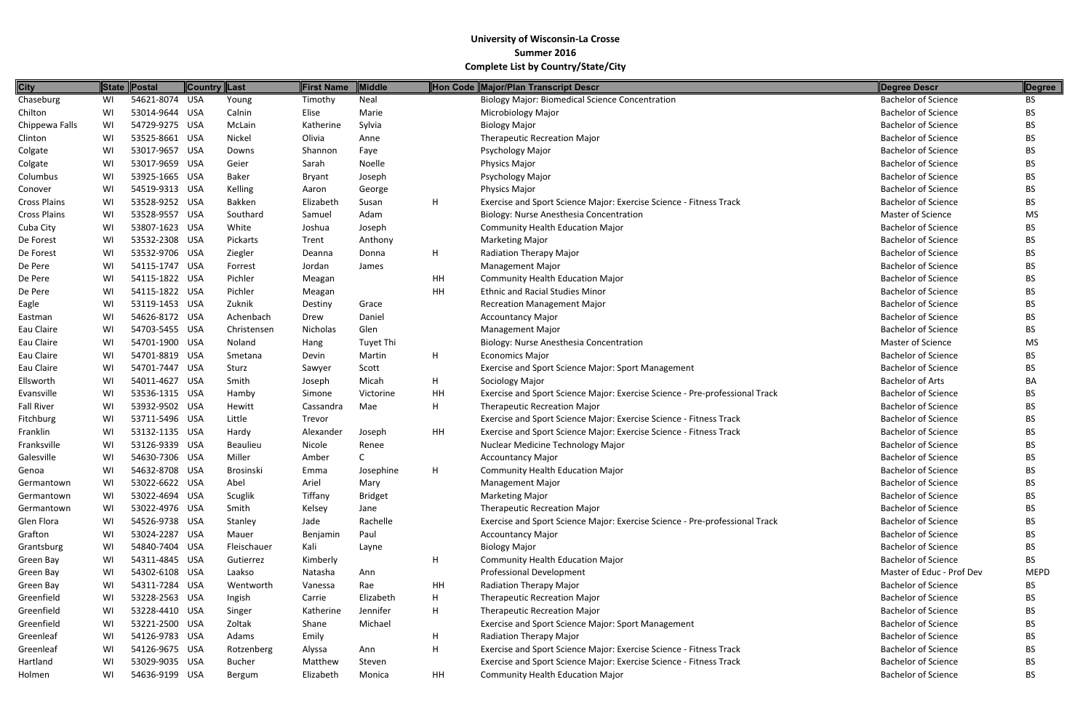| <b>City</b>         |    | State Postal   | <b>Country Last</b> |                  | <b>First Name</b> | Middle           |           | Hon Code Major/Plan Transcript Descr                                        | Degree Descr               | Degree      |
|---------------------|----|----------------|---------------------|------------------|-------------------|------------------|-----------|-----------------------------------------------------------------------------|----------------------------|-------------|
| Chaseburg           | WI | 54621-8074 USA |                     | Young            | Timothy           | Neal             |           | <b>Biology Major: Biomedical Science Concentration</b>                      | <b>Bachelor of Science</b> | BS.         |
| Chilton             | WI | 53014-9644 USA |                     | Calnin           | Elise             | Marie            |           | Microbiology Major                                                          | <b>Bachelor of Science</b> | <b>BS</b>   |
| Chippewa Falls      | WI | 54729-9275 USA |                     | McLain           | Katherine         | Sylvia           |           | <b>Biology Major</b>                                                        | <b>Bachelor of Science</b> | BS.         |
| Clinton             | WI | 53525-8661 USA |                     | Nickel           | Olivia            | Anne             |           | <b>Therapeutic Recreation Major</b>                                         | <b>Bachelor of Science</b> | BS.         |
| Colgate             | WI | 53017-9657 USA |                     | Downs            | Shannon           | Faye             |           | Psychology Major                                                            | <b>Bachelor of Science</b> | BS.         |
| Colgate             | WI | 53017-9659 USA |                     | Geier            | Sarah             | Noelle           |           | Physics Major                                                               | <b>Bachelor of Science</b> | BS.         |
| Columbus            | WI | 53925-1665 USA |                     | <b>Baker</b>     | <b>Bryant</b>     | Joseph           |           | Psychology Major                                                            | <b>Bachelor of Science</b> | BS.         |
| Conover             | WI | 54519-9313 USA |                     | Kelling          | Aaron             | George           |           | Physics Major                                                               | <b>Bachelor of Science</b> | BS.         |
| <b>Cross Plains</b> | WI | 53528-9252 USA |                     | Bakken           | Elizabeth         | Susan            | H         | Exercise and Sport Science Major: Exercise Science - Fitness Track          | <b>Bachelor of Science</b> | BS.         |
| <b>Cross Plains</b> | WI | 53528-9557 USA |                     | Southard         | Samuel            | Adam             |           | Biology: Nurse Anesthesia Concentration                                     | Master of Science          | <b>MS</b>   |
| Cuba City           | WI | 53807-1623 USA |                     | White            | Joshua            | Joseph           |           | <b>Community Health Education Major</b>                                     | <b>Bachelor of Science</b> | BS.         |
| De Forest           | WI | 53532-2308 USA |                     | Pickarts         | Trent             | Anthony          |           | <b>Marketing Major</b>                                                      | <b>Bachelor of Science</b> | BS.         |
| De Forest           | WI | 53532-9706 USA |                     | Ziegler          | Deanna            | Donna            | H.        | Radiation Therapy Major                                                     | <b>Bachelor of Science</b> | BS.         |
| De Pere             | WI | 54115-1747 USA |                     | Forrest          | Jordan            | James            |           | <b>Management Major</b>                                                     | <b>Bachelor of Science</b> | BS.         |
| De Pere             | WI | 54115-1822 USA |                     | Pichler          | Meagan            |                  | HH        | <b>Community Health Education Major</b>                                     | <b>Bachelor of Science</b> | BS          |
| De Pere             | WI | 54115-1822 USA |                     | Pichler          | Meagan            |                  | <b>HH</b> | <b>Ethnic and Racial Studies Minor</b>                                      | <b>Bachelor of Science</b> | BS.         |
| Eagle               | WI | 53119-1453 USA |                     | Zuknik           | Destiny           | Grace            |           | <b>Recreation Management Major</b>                                          | <b>Bachelor of Science</b> | BS.         |
| Eastman             | WI | 54626-8172 USA |                     | Achenbach        | Drew              | Daniel           |           | <b>Accountancy Major</b>                                                    | <b>Bachelor of Science</b> | BS.         |
| Eau Claire          | WI | 54703-5455 USA |                     | Christensen      | Nicholas          | Glen             |           | <b>Management Major</b>                                                     | <b>Bachelor of Science</b> | BS.         |
| Eau Claire          | WI | 54701-1900 USA |                     | Noland           | Hang              | <b>Tuyet Thi</b> |           | Biology: Nurse Anesthesia Concentration                                     | Master of Science          | <b>MS</b>   |
| Eau Claire          | WI | 54701-8819 USA |                     | Smetana          | Devin             | Martin           | H         | <b>Economics Major</b>                                                      | <b>Bachelor of Science</b> | BS.         |
| Eau Claire          | WI | 54701-7447 USA |                     | Sturz            | Sawyer            | Scott            |           | Exercise and Sport Science Major: Sport Management                          | <b>Bachelor of Science</b> | BS.         |
| Ellsworth           | WI | 54011-4627 USA |                     | Smith            | Joseph            | Micah            | H         | Sociology Major                                                             | <b>Bachelor of Arts</b>    | BA          |
| Evansville          | WI | 53536-1315 USA |                     | Hamby            | Simone            | Victorine        | HH        | Exercise and Sport Science Major: Exercise Science - Pre-professional Track | <b>Bachelor of Science</b> | BS.         |
| <b>Fall River</b>   | WI | 53932-9502 USA |                     | Hewitt           | Cassandra         | Mae              | Н         | <b>Therapeutic Recreation Major</b>                                         | <b>Bachelor of Science</b> | BS.         |
| Fitchburg           | WI | 53711-5496 USA |                     | Little           | Trevor            |                  |           | Exercise and Sport Science Major: Exercise Science - Fitness Track          | <b>Bachelor of Science</b> | BS.         |
| Franklin            | WI | 53132-1135 USA |                     | Hardy            | Alexander         | Joseph           | HH        | Exercise and Sport Science Major: Exercise Science - Fitness Track          | <b>Bachelor of Science</b> | BS.         |
| Franksville         | WI | 53126-9339 USA |                     | <b>Beaulieu</b>  | Nicole            | Renee            |           | Nuclear Medicine Technology Major                                           | <b>Bachelor of Science</b> | ВS          |
| Galesville          | WI | 54630-7306 USA |                     | Miller           | Amber             |                  |           | <b>Accountancy Major</b>                                                    | <b>Bachelor of Science</b> | <b>BS</b>   |
| Genoa               | WI | 54632-8708 USA |                     | <b>Brosinski</b> | Emma              | Josephine        | н         | <b>Community Health Education Major</b>                                     | <b>Bachelor of Science</b> | <b>BS</b>   |
| Germantown          | WI | 53022-6622 USA |                     | Abel             | Ariel             | Mary             |           | <b>Management Major</b>                                                     | <b>Bachelor of Science</b> | BS.         |
| Germantown          | WI | 53022-4694 USA |                     | Scuglik          | Tiffany           | <b>Bridget</b>   |           | <b>Marketing Major</b>                                                      | <b>Bachelor of Science</b> | BS.         |
| Germantown          | WI | 53022-4976 USA |                     | Smith            | Kelsey            | Jane             |           | <b>Therapeutic Recreation Major</b>                                         | <b>Bachelor of Science</b> | ВS          |
| Glen Flora          | WI | 54526-9738 USA |                     | Stanley          | Jade              | Rachelle         |           | Exercise and Sport Science Major: Exercise Science - Pre-professional Track | <b>Bachelor of Science</b> | BS.         |
| Grafton             | WI | 53024-2287 USA |                     | Mauer            | Benjamin          | Paul             |           | <b>Accountancy Major</b>                                                    | <b>Bachelor of Science</b> | BS.         |
| Grantsburg          | WI | 54840-7404 USA |                     | Fleischauer      | Kali              | Layne            |           | <b>Biology Major</b>                                                        | <b>Bachelor of Science</b> | BS.         |
| Green Bay           | WI | 54311-4845 USA |                     | Gutierrez        | Kimberly          |                  | H         | <b>Community Health Education Major</b>                                     | <b>Bachelor of Science</b> | BS.         |
| Green Bay           | WI | 54302-6108 USA |                     | Laakso           | Natasha           | Ann              |           | Professional Development                                                    | Master of Educ - Prof Dev  | <b>MEPD</b> |
| Green Bay           | WI | 54311-7284 USA |                     | Wentworth        | Vanessa           | Rae              | HH        | Radiation Therapy Major                                                     | <b>Bachelor of Science</b> | BS.         |
| Greenfield          | WI | 53228-2563 USA |                     | Ingish           | Carrie            | Elizabeth        | H         | <b>Therapeutic Recreation Major</b>                                         | <b>Bachelor of Science</b> | BS.         |
| Greenfield          | WI | 53228-4410 USA |                     | Singer           | Katherine         | Jennifer         | H         | <b>Therapeutic Recreation Major</b>                                         | <b>Bachelor of Science</b> | BS.         |
| Greenfield          | WI | 53221-2500 USA |                     | Zoltak           | Shane             | Michael          |           | Exercise and Sport Science Major: Sport Management                          | <b>Bachelor of Science</b> | BS.         |
| Greenleaf           | WI | 54126-9783 USA |                     | Adams            | Emily             |                  | H         | Radiation Therapy Major                                                     | <b>Bachelor of Science</b> | BS.         |
| Greenleaf           | WI | 54126-9675 USA |                     | Rotzenberg       | Alyssa            | Ann              | H         | Exercise and Sport Science Major: Exercise Science - Fitness Track          | <b>Bachelor of Science</b> | BS.         |
| Hartland            | WI | 53029-9035 USA |                     | <b>Bucher</b>    | Matthew           | Steven           |           | Exercise and Sport Science Major: Exercise Science - Fitness Track          | <b>Bachelor of Science</b> | BS.         |
| Holmen              | WI | 54636-9199 USA |                     | Bergum           | Elizabeth         | Monica           | HH        | <b>Community Health Education Major</b>                                     | <b>Bachelor of Science</b> | <b>BS</b>   |

| <b>Degree Descr</b>        | <b>Degree</b> |
|----------------------------|---------------|
| <b>Bachelor of Science</b> | <b>BS</b>     |
| <b>Bachelor of Science</b> | <b>BS</b>     |
| <b>Bachelor of Science</b> | <b>BS</b>     |
| <b>Bachelor of Science</b> | <b>BS</b>     |
| <b>Bachelor of Science</b> | <b>BS</b>     |
| <b>Bachelor of Science</b> | <b>BS</b>     |
| <b>Bachelor of Science</b> | <b>BS</b>     |
| <b>Bachelor of Science</b> | <b>BS</b>     |
| <b>Bachelor of Science</b> | <b>BS</b>     |
| <b>Master of Science</b>   | <b>MS</b>     |
| <b>Bachelor of Science</b> | <b>BS</b>     |
| <b>Bachelor of Science</b> | <b>BS</b>     |
| <b>Bachelor of Science</b> | <b>BS</b>     |
| <b>Bachelor of Science</b> | <b>BS</b>     |
| <b>Bachelor of Science</b> | <b>BS</b>     |
| <b>Bachelor of Science</b> | <b>BS</b>     |
| <b>Bachelor of Science</b> | <b>BS</b>     |
| <b>Bachelor of Science</b> | <b>BS</b>     |
| <b>Bachelor of Science</b> | <b>BS</b>     |
| <b>Master of Science</b>   | <b>MS</b>     |
| <b>Bachelor of Science</b> | <b>BS</b>     |
| <b>Bachelor of Science</b> | <b>BS</b>     |
| <b>Bachelor of Arts</b>    | BA            |
| <b>Bachelor of Science</b> | <b>BS</b>     |
| <b>Bachelor of Science</b> | <b>BS</b>     |
| <b>Bachelor of Science</b> | <b>BS</b>     |
| <b>Bachelor of Science</b> | <b>BS</b>     |
| <b>Bachelor of Science</b> | <b>BS</b>     |
| <b>Bachelor of Science</b> | BS            |
| <b>Bachelor of Science</b> | BS            |
| <b>Bachelor of Science</b> | BS            |
| <b>Bachelor of Science</b> | <b>BS</b>     |
| <b>Bachelor of Science</b> | <b>BS</b>     |
| <b>Bachelor of Science</b> | <b>BS</b>     |
| <b>Bachelor of Science</b> | <b>BS</b>     |
| <b>Bachelor of Science</b> | <b>BS</b>     |
| <b>Bachelor of Science</b> | <b>BS</b>     |
| Master of Educ - Prof Dev  | <b>MEPD</b>   |
| <b>Bachelor of Science</b> | <b>BS</b>     |
| <b>Bachelor of Science</b> | <b>BS</b>     |
| <b>Bachelor of Science</b> | <b>BS</b>     |
| <b>Bachelor of Science</b> | <b>BS</b>     |
| <b>Bachelor of Science</b> | <b>BS</b>     |
| <b>Bachelor of Science</b> | <b>BS</b>     |
| <b>Bachelor of Science</b> | <b>BS</b>     |
| <b>Bachelor of Science</b> | <b>BS</b>     |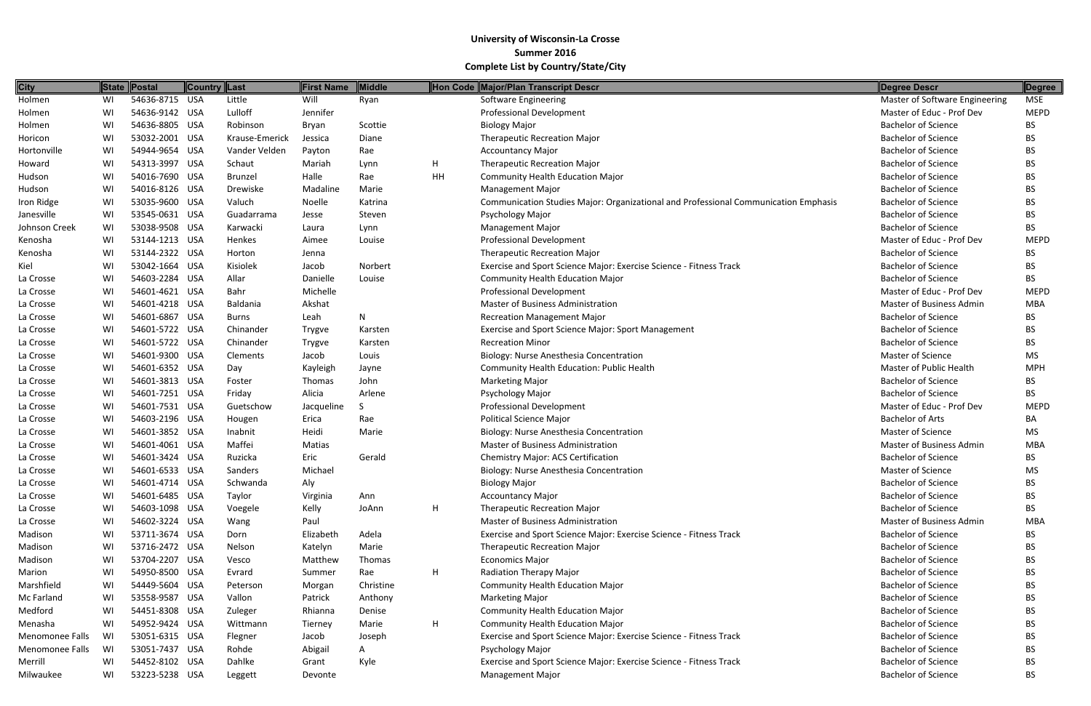| <b>City</b>     |    | State Postal   | <b>Country Last</b> |                | <b>First Name</b> | <b>Middle</b> |    | Hon Code Major/Plan Transcript Descr                                                | Degree Descr                    | Degree      |
|-----------------|----|----------------|---------------------|----------------|-------------------|---------------|----|-------------------------------------------------------------------------------------|---------------------------------|-------------|
| Holmen          | WI | 54636-8715 USA |                     | Little         | Will              | Ryan          |    | Software Engineering                                                                | Master of Software Engineering  | MSE         |
| Holmen          | WI | 54636-9142 USA |                     | Lulloff        | Jennifer          |               |    | <b>Professional Development</b>                                                     | Master of Educ - Prof Dev       | <b>MEPD</b> |
| Holmen          | WI | 54636-8805 USA |                     | Robinson       | Bryan             | Scottie       |    | <b>Biology Major</b>                                                                | <b>Bachelor of Science</b>      | <b>BS</b>   |
| Horicon         | WI | 53032-2001 USA |                     | Krause-Emerick | Jessica           | Diane         |    | <b>Therapeutic Recreation Major</b>                                                 | <b>Bachelor of Science</b>      | <b>BS</b>   |
| Hortonville     | WI | 54944-9654 USA |                     | Vander Velden  | Payton            | Rae           |    | <b>Accountancy Major</b>                                                            | <b>Bachelor of Science</b>      | <b>BS</b>   |
| Howard          | WI | 54313-3997 USA |                     | Schaut         | Mariah            | Lynn          | H. | <b>Therapeutic Recreation Major</b>                                                 | <b>Bachelor of Science</b>      | BS          |
| Hudson          | WI | 54016-7690 USA |                     | Brunzel        | Halle             | Rae           | HH | <b>Community Health Education Major</b>                                             | <b>Bachelor of Science</b>      | <b>BS</b>   |
| Hudson          | WI | 54016-8126 USA |                     | Drewiske       | Madaline          | Marie         |    | <b>Management Major</b>                                                             | <b>Bachelor of Science</b>      | <b>BS</b>   |
| Iron Ridge      | WI | 53035-9600 USA |                     | Valuch         | Noelle            | Katrina       |    | Communication Studies Major: Organizational and Professional Communication Emphasis | <b>Bachelor of Science</b>      | <b>BS</b>   |
| Janesville      | WI | 53545-0631 USA |                     | Guadarrama     | Jesse             | Steven        |    | Psychology Major                                                                    | <b>Bachelor of Science</b>      | <b>BS</b>   |
| Johnson Creek   | WI | 53038-9508 USA |                     | Karwacki       | Laura             | Lynn          |    | Management Major                                                                    | <b>Bachelor of Science</b>      | <b>BS</b>   |
| Kenosha         | WI | 53144-1213 USA |                     | Henkes         | Aimee             | Louise        |    | <b>Professional Development</b>                                                     | Master of Educ - Prof Dev       | <b>MEPD</b> |
| Kenosha         | WI | 53144-2322 USA |                     | Horton         | Jenna             |               |    | <b>Therapeutic Recreation Major</b>                                                 | <b>Bachelor of Science</b>      | <b>BS</b>   |
| Kiel            | WI | 53042-1664 USA |                     | Kisiolek       | Jacob             | Norbert       |    | Exercise and Sport Science Major: Exercise Science - Fitness Track                  | <b>Bachelor of Science</b>      | <b>BS</b>   |
| La Crosse       | WI | 54603-2284 USA |                     | Allar          | Danielle          | Louise        |    | <b>Community Health Education Major</b>                                             | <b>Bachelor of Science</b>      | <b>BS</b>   |
| La Crosse       | WI | 54601-4621 USA |                     | Bahr           | Michelle          |               |    | <b>Professional Development</b>                                                     | Master of Educ - Prof Dev       | <b>MEPD</b> |
| La Crosse       | WI | 54601-4218 USA |                     | Baldania       | Akshat            |               |    | <b>Master of Business Administration</b>                                            | <b>Master of Business Admin</b> | <b>MBA</b>  |
| La Crosse       | WI | 54601-6867 USA |                     | Burns          | Leah              | N             |    | <b>Recreation Management Major</b>                                                  | <b>Bachelor of Science</b>      | <b>BS</b>   |
| La Crosse       | WI | 54601-5722 USA |                     | Chinander      | Trygve            | Karsten       |    | Exercise and Sport Science Major: Sport Management                                  | <b>Bachelor of Science</b>      | <b>BS</b>   |
| La Crosse       | WI | 54601-5722 USA |                     | Chinander      | Trygve            | Karsten       |    | <b>Recreation Minor</b>                                                             | <b>Bachelor of Science</b>      | <b>BS</b>   |
| La Crosse       | WI | 54601-9300 USA |                     | Clements       | Jacob             | Louis         |    | Biology: Nurse Anesthesia Concentration                                             | <b>Master of Science</b>        | MS          |
| La Crosse       | WI | 54601-6352 USA |                     | Day            | Kayleigh          | Jayne         |    | Community Health Education: Public Health                                           | <b>Master of Public Health</b>  | <b>MPH</b>  |
| La Crosse       | WI | 54601-3813 USA |                     | Foster         | Thomas            | John          |    | <b>Marketing Major</b>                                                              | <b>Bachelor of Science</b>      | <b>BS</b>   |
| La Crosse       | WI | 54601-7251 USA |                     | Friday         | Alicia            | Arlene        |    | Psychology Major                                                                    | <b>Bachelor of Science</b>      | <b>BS</b>   |
| La Crosse       | WI | 54601-7531 USA |                     | Guetschow      | Jacqueline        |               |    | <b>Professional Development</b>                                                     | Master of Educ - Prof Dev       | <b>MEPD</b> |
| La Crosse       | WI | 54603-2196 USA |                     | Hougen         | Erica             | Rae           |    | <b>Political Science Major</b>                                                      | <b>Bachelor of Arts</b>         | BA          |
| La Crosse       | WI | 54601-3852 USA |                     | Inabnit        | Heidi             | Marie         |    | Biology: Nurse Anesthesia Concentration                                             | <b>Master of Science</b>        | MS          |
| La Crosse       | WI | 54601-4061 USA |                     | Maffei         | Matias            |               |    | <b>Master of Business Administration</b>                                            | <b>Master of Business Admin</b> | <b>MBA</b>  |
| La Crosse       | WI | 54601-3424 USA |                     | Ruzicka        | Eric              | Gerald        |    | <b>Chemistry Major: ACS Certification</b>                                           | <b>Bachelor of Science</b>      | <b>BS</b>   |
| La Crosse       | WI | 54601-6533 USA |                     | Sanders        | Michael           |               |    | Biology: Nurse Anesthesia Concentration                                             | <b>Master of Science</b>        | MS          |
| La Crosse       | WI | 54601-4714 USA |                     | Schwanda       | Aly               |               |    | <b>Biology Major</b>                                                                | <b>Bachelor of Science</b>      | <b>BS</b>   |
| La Crosse       | WI | 54601-6485 USA |                     | Taylor         | Virginia          | Ann           |    | <b>Accountancy Major</b>                                                            | <b>Bachelor of Science</b>      | <b>BS</b>   |
| La Crosse       | WI | 54603-1098 USA |                     | Voegele        | Kelly             | JoAnn         | H  | <b>Therapeutic Recreation Major</b>                                                 | <b>Bachelor of Science</b>      | <b>BS</b>   |
| La Crosse       | WI | 54602-3224 USA |                     | Wang           | Paul              |               |    | <b>Master of Business Administration</b>                                            | <b>Master of Business Admin</b> | <b>MBA</b>  |
| Madison         | WI | 53711-3674 USA |                     | Dorn           | Elizabeth         | Adela         |    | Exercise and Sport Science Major: Exercise Science - Fitness Track                  | <b>Bachelor of Science</b>      | <b>BS</b>   |
| Madison         | WI | 53716-2472 USA |                     | Nelson         | Katelyn           | Marie         |    | <b>Therapeutic Recreation Major</b>                                                 | <b>Bachelor of Science</b>      | <b>BS</b>   |
| Madison         | WI | 53704-2207 USA |                     | Vesco          | Matthew           | Thomas        |    | <b>Economics Major</b>                                                              | <b>Bachelor of Science</b>      | <b>BS</b>   |
| Marion          | WI | 54950-8500 USA |                     | Evrard         | Summer            | Rae           | Н. | <b>Radiation Therapy Major</b>                                                      | <b>Bachelor of Science</b>      | <b>BS</b>   |
| Marshfield      | WI | 54449-5604 USA |                     | Peterson       | Morgan            | Christine     |    | <b>Community Health Education Major</b>                                             | <b>Bachelor of Science</b>      | BS          |
| Mc Farland      | WI | 53558-9587 USA |                     | Vallon         | Patrick           | Anthony       |    | <b>Marketing Major</b>                                                              | <b>Bachelor of Science</b>      | <b>BS</b>   |
| Medford         | WI | 54451-8308 USA |                     | Zuleger        | Rhianna           | Denise        |    | <b>Community Health Education Major</b>                                             | <b>Bachelor of Science</b>      | BS          |
| Menasha         | WI | 54952-9424 USA |                     | Wittmann       | Tierney           | Marie         | H  | <b>Community Health Education Major</b>                                             | <b>Bachelor of Science</b>      | <b>BS</b>   |
| Menomonee Falls | WI | 53051-6315 USA |                     | Flegner        | Jacob             | Joseph        |    | Exercise and Sport Science Major: Exercise Science - Fitness Track                  | <b>Bachelor of Science</b>      | <b>BS</b>   |
| Menomonee Falls | WI | 53051-7437 USA |                     | Rohde          | Abigail           | A             |    | Psychology Major                                                                    | <b>Bachelor of Science</b>      | BS          |
| Merrill         | WI | 54452-8102 USA |                     | Dahlke         | Grant             | Kyle          |    | Exercise and Sport Science Major: Exercise Science - Fitness Track                  | <b>Bachelor of Science</b>      | BS          |
| Milwaukee       | WI | 53223-5238 USA |                     | Leggett        | Devonte           |               |    | <b>Management Major</b>                                                             | <b>Bachelor of Science</b>      | <b>BS</b>   |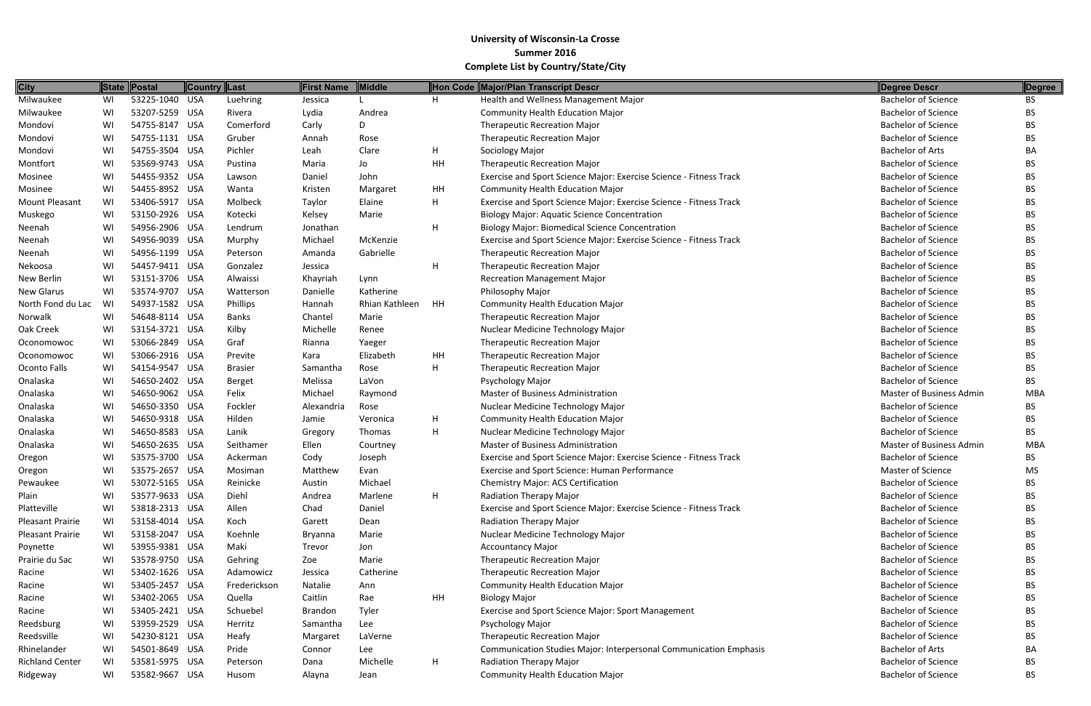| <b>City</b>            |    | State Postal   | Country Last |                | <b>First Name</b> | Middle         |    | Hon Code Major/Plan Transcript Descr                                     | Degree Descr                    | Degree     |
|------------------------|----|----------------|--------------|----------------|-------------------|----------------|----|--------------------------------------------------------------------------|---------------------------------|------------|
| Milwaukee              | WI | 53225-1040 USA |              | Luehring       | Jessica           |                | H  | Health and Wellness Management Major                                     | <b>Bachelor of Science</b>      | BS.        |
| Milwaukee              | WI | 53207-5259 USA |              | Rivera         | Lydia             | Andrea         |    | <b>Community Health Education Major</b>                                  | <b>Bachelor of Science</b>      | BS.        |
| Mondovi                | WI | 54755-8147 USA |              | Comerford      | Carly             | D.             |    | <b>Therapeutic Recreation Major</b>                                      | <b>Bachelor of Science</b>      | BS.        |
| Mondovi                | WI | 54755-1131 USA |              | Gruber         | Annah             | Rose           |    | <b>Therapeutic Recreation Major</b>                                      | <b>Bachelor of Science</b>      | BS.        |
| Mondovi                | WI | 54755-3504 USA |              | Pichler        | Leah              | Clare          | H  | Sociology Major                                                          | <b>Bachelor of Arts</b>         | BA         |
| Montfort               | WI | 53569-9743 USA |              | Pustina        | Maria             | Jo             | HH | <b>Therapeutic Recreation Major</b>                                      | <b>Bachelor of Science</b>      | BS.        |
| Mosinee                | WI | 54455-9352 USA |              | Lawson         | Daniel            | John           |    | Exercise and Sport Science Major: Exercise Science - Fitness Track       | <b>Bachelor of Science</b>      | BS.        |
| Mosinee                | WI | 54455-8952 USA |              | Wanta          | Kristen           | Margaret       | HH | <b>Community Health Education Major</b>                                  | <b>Bachelor of Science</b>      | BS.        |
| Mount Pleasant         | WI | 53406-5917 USA |              | Molbeck        | Taylor            | Elaine         | H  | Exercise and Sport Science Major: Exercise Science - Fitness Track       | <b>Bachelor of Science</b>      | BS.        |
| Muskego                | WI | 53150-2926 USA |              | Kotecki        | Kelsey            | Marie          |    | <b>Biology Major: Aquatic Science Concentration</b>                      | <b>Bachelor of Science</b>      | ВS         |
| Neenah                 | WI | 54956-2906 USA |              | Lendrum        | Jonathan          |                | H  | <b>Biology Major: Biomedical Science Concentration</b>                   | <b>Bachelor of Science</b>      | BS.        |
| Neenah                 | WI | 54956-9039 USA |              | Murphy         | Michael           | McKenzie       |    | Exercise and Sport Science Major: Exercise Science - Fitness Track       | <b>Bachelor of Science</b>      | <b>BS</b>  |
| Neenah                 | WI | 54956-1199 USA |              | Peterson       | Amanda            | Gabrielle      |    | <b>Therapeutic Recreation Major</b>                                      | <b>Bachelor of Science</b>      | BS.        |
| Nekoosa                | WI | 54457-9411 USA |              | Gonzalez       | Jessica           |                | H  | <b>Therapeutic Recreation Major</b>                                      | <b>Bachelor of Science</b>      | BS.        |
| New Berlin             | WI | 53151-3706 USA |              | Alwaissi       | Khayriah          | Lynn           |    | <b>Recreation Management Major</b>                                       | <b>Bachelor of Science</b>      | ВS         |
| <b>New Glarus</b>      | WI | 53574-9707 USA |              | Watterson      | Danielle          | Katherine      |    | Philosophy Major                                                         | <b>Bachelor of Science</b>      | BS.        |
| North Fond du Lac      | WI | 54937-1582 USA |              | Phillips       | Hannah            | Rhian Kathleen | HH | <b>Community Health Education Major</b>                                  | <b>Bachelor of Science</b>      | ВS         |
| Norwalk                | WI | 54648-8114 USA |              | Banks          | Chantel           | Marie          |    | <b>Therapeutic Recreation Major</b>                                      | <b>Bachelor of Science</b>      | BS.        |
| Oak Creek              | WI | 53154-3721 USA |              | Kilby          | Michelle          | Renee          |    | Nuclear Medicine Technology Major                                        | <b>Bachelor of Science</b>      | BS.        |
| Oconomowoc             | WI | 53066-2849 USA |              | Graf           | Rianna            | Yaeger         |    | <b>Therapeutic Recreation Major</b>                                      | <b>Bachelor of Science</b>      | BS.        |
| Oconomowoc             | WI | 53066-2916 USA |              | Previte        | Kara              | Elizabeth      | HH | <b>Therapeutic Recreation Major</b>                                      | <b>Bachelor of Science</b>      | BS.        |
| Oconto Falls           | WI | 54154-9547 USA |              | <b>Brasier</b> | Samantha          | Rose           | H  | <b>Therapeutic Recreation Major</b>                                      | <b>Bachelor of Science</b>      | BS.        |
| Onalaska               | WI | 54650-2402 USA |              | Berget         | Melissa           | LaVon          |    | Psychology Major                                                         | <b>Bachelor of Science</b>      | BS.        |
| Onalaska               | WI | 54650-9062 USA |              | Felix          | Michael           | Raymond        |    | Master of Business Administration                                        | Master of Business Admin        | MBA        |
| Onalaska               | WI | 54650-3350 USA |              | Fockler        | Alexandria        | Rose           |    | Nuclear Medicine Technology Major                                        | <b>Bachelor of Science</b>      | BS.        |
| Onalaska               | WI | 54650-9318 USA |              | Hilden         | Jamie             | Veronica       | H  | <b>Community Health Education Major</b>                                  | <b>Bachelor of Science</b>      | BS.        |
| Onalaska               | WI | 54650-8583 USA |              | Lanik          | Gregory           | Thomas         | H  | Nuclear Medicine Technology Major                                        | <b>Bachelor of Science</b>      | <b>BS</b>  |
| Onalaska               | WI | 54650-2635 USA |              | Seithamer      | Ellen             | Courtney       |    | <b>Master of Business Administration</b>                                 | <b>Master of Business Admin</b> | <b>MBA</b> |
| Oregon                 | WI | 53575-3700 USA |              | Ackerman       | Cody              | Joseph         |    | Exercise and Sport Science Major: Exercise Science - Fitness Track       | <b>Bachelor of Science</b>      | BS.        |
| Oregon                 | WI | 53575-2657 USA |              | Mosiman        | Matthew           | Evan           |    | Exercise and Sport Science: Human Performance                            | Master of Science               | MS         |
| Pewaukee               | WI | 53072-5165 USA |              | Reinicke       | Austin            | Michael        |    | <b>Chemistry Major: ACS Certification</b>                                | <b>Bachelor of Science</b>      | BS.        |
| Plain                  | WI | 53577-9633 USA |              | Diehl          | Andrea            | Marlene        | H  | Radiation Therapy Major                                                  | <b>Bachelor of Science</b>      | BS.        |
| Platteville            | WI | 53818-2313 USA |              | Allen          | Chad              | Daniel         |    | Exercise and Sport Science Major: Exercise Science - Fitness Track       | <b>Bachelor of Science</b>      | BS         |
| Pleasant Prairie       | WI | 53158-4014 USA |              | Koch           | Garett            | Dean           |    | Radiation Therapy Major                                                  | <b>Bachelor of Science</b>      | BS.        |
| Pleasant Prairie       | WI | 53158-2047 USA |              | Koehnle        | Bryanna           | Marie          |    | Nuclear Medicine Technology Major                                        | <b>Bachelor of Science</b>      | BS.        |
| Poynette               | WI | 53955-9381 USA |              | Maki           | Trevor            | Jon            |    | <b>Accountancy Major</b>                                                 | <b>Bachelor of Science</b>      | BS.        |
| Prairie du Sac         | WI | 53578-9750 USA |              | Gehring        | Zoe               | Marie          |    | <b>Therapeutic Recreation Major</b>                                      | <b>Bachelor of Science</b>      | BS.        |
| Racine                 | WI | 53402-1626 USA |              | Adamowicz      | Jessica           | Catherine      |    | <b>Therapeutic Recreation Major</b>                                      | <b>Bachelor of Science</b>      | BS.        |
| Racine                 | WI | 53405-2457 USA |              | Frederickson   | Natalie           | Ann            |    | <b>Community Health Education Major</b>                                  | <b>Bachelor of Science</b>      | BS         |
| Racine                 | WI | 53402-2065 USA |              | Quella         | Caitlin           | Rae            | HH | <b>Biology Major</b>                                                     | <b>Bachelor of Science</b>      | BS.        |
| Racine                 | WI | 53405-2421 USA |              | Schuebel       | <b>Brandon</b>    | Tyler          |    | <b>Exercise and Sport Science Major: Sport Management</b>                | <b>Bachelor of Science</b>      | BS.        |
| Reedsburg              | WI | 53959-2529 USA |              | Herritz        | Samantha          | Lee            |    | Psychology Major                                                         | <b>Bachelor of Science</b>      | BS.        |
| Reedsville             | WI | 54230-8121 USA |              | Heafy          | Margaret          | LaVerne        |    | <b>Therapeutic Recreation Major</b>                                      | <b>Bachelor of Science</b>      | <b>BS</b>  |
| Rhinelander            | WI | 54501-8649 USA |              | Pride          | Connor            | Lee            |    | <b>Communication Studies Major: Interpersonal Communication Emphasis</b> | <b>Bachelor of Arts</b>         | BA         |
| <b>Richland Center</b> | WI | 53581-5975 USA |              | Peterson       | Dana              | Michelle       | H  | <b>Radiation Therapy Major</b>                                           | <b>Bachelor of Science</b>      | BS.        |
| Ridgeway               | WI | 53582-9667 USA |              | Husom          | Alayna            | Jean           |    | <b>Community Health Education Major</b>                                  | <b>Bachelor of Science</b>      | BS.        |

| <b>Degree Descr</b>             | <b>Degree</b> |
|---------------------------------|---------------|
| <b>Bachelor of Science</b>      | BS            |
| <b>Bachelor of Science</b>      | BS            |
| Bachelor of Science             | <b>BS</b>     |
| <b>Bachelor of Science</b>      | <b>BS</b>     |
| <b>Bachelor of Arts</b>         | BА            |
| <b>Bachelor of Science</b>      | <b>BS</b>     |
| Bachelor of Science             | <b>BS</b>     |
| <b>Bachelor of Science</b>      | <b>BS</b>     |
| <b>Bachelor of Science</b>      | <b>BS</b>     |
| <b>Bachelor of Science</b>      | <b>BS</b>     |
| <b>Bachelor of Science</b>      | <b>BS</b>     |
| <b>Bachelor of Science</b>      | <b>BS</b>     |
| <b>Bachelor of Science</b>      | <b>BS</b>     |
| <b>Bachelor of Science</b>      | BS            |
| <b>Bachelor of Science</b>      | <b>BS</b>     |
| <b>Bachelor of Science</b>      | <b>BS</b>     |
| <b>Bachelor of Science</b>      | <b>BS</b>     |
| <b>Bachelor of Science</b>      | <b>BS</b>     |
| <b>Bachelor of Science</b>      | <b>BS</b>     |
| <b>Bachelor of Science</b>      | <b>BS</b>     |
| <b>Bachelor of Science</b>      | <b>BS</b>     |
| <b>Bachelor of Science</b>      | <b>BS</b>     |
| <b>Bachelor of Science</b>      | BS.           |
| <b>Master of Business Admin</b> | MBA           |
| <b>Bachelor of Science</b>      | <b>BS</b>     |
| <b>Bachelor of Science</b>      | <b>BS</b>     |
| <b>Bachelor of Science</b>      | <b>BS</b>     |
| <b>Master of Business Admin</b> | MBA           |
| <b>Bachelor of Science</b>      | <b>BS</b>     |
| <b>Master of Science</b>        | MS            |
| <b>Bachelor of Science</b>      | BS            |
| <b>Bachelor of Science</b>      | <b>BS</b>     |
| <b>Bachelor of Science</b>      | <b>BS</b>     |
| <b>Bachelor of Science</b>      | BS            |
| <b>Bachelor of Science</b>      | <b>BS</b>     |
| <b>Bachelor of Science</b>      | <b>BS</b>     |
| <b>Bachelor of Science</b>      | <b>BS</b>     |
| <b>Bachelor of Science</b>      | <b>BS</b>     |
| <b>Bachelor of Science</b>      | <b>BS</b>     |
| <b>Bachelor of Science</b>      | <b>BS</b>     |
| <b>Bachelor of Science</b>      | <b>BS</b>     |
| <b>Bachelor of Science</b>      | <b>BS</b>     |
| <b>Bachelor of Science</b>      | <b>BS</b>     |
| <b>Bachelor of Arts</b>         | BA            |
| <b>Bachelor of Science</b>      | BS            |
| <b>Bachelor of Science</b>      | BS            |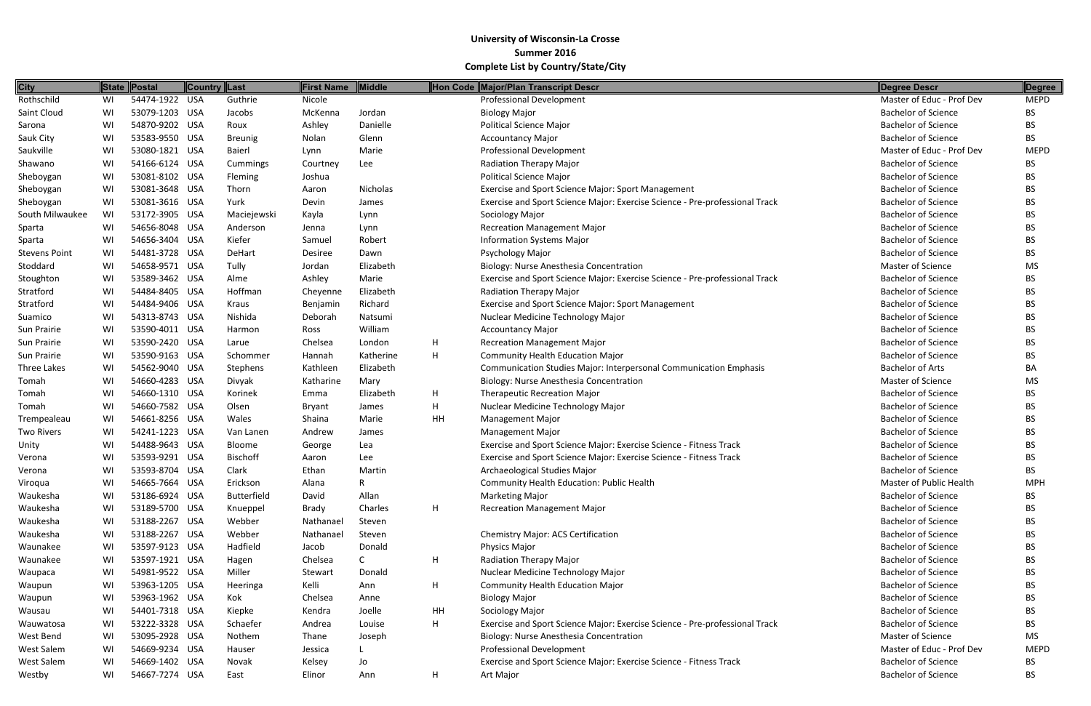| <b>City</b>          |    | State Postal   | Country  Last      | <b>First Name</b> | Middle    |              | Hon Code Major/Plan Transcript Descr                                        | Degree Descr               | Degree      |
|----------------------|----|----------------|--------------------|-------------------|-----------|--------------|-----------------------------------------------------------------------------|----------------------------|-------------|
| Rothschild           | WI | 54474-1922 USA | Guthrie            | Nicole            |           |              | <b>Professional Development</b>                                             | Master of Educ - Prof Dev  | <b>MEPD</b> |
| Saint Cloud          | WI | 53079-1203 USA | Jacobs             | McKenna           | Jordan    |              | <b>Biology Major</b>                                                        | <b>Bachelor of Science</b> | BS.         |
| Sarona               | WI | 54870-9202 USA | Roux               | Ashley            | Danielle  |              | <b>Political Science Major</b>                                              | <b>Bachelor of Science</b> | BS.         |
| Sauk City            | WI | 53583-9550 USA | <b>Breunig</b>     | Nolan             | Glenn     |              | <b>Accountancy Major</b>                                                    | <b>Bachelor of Science</b> | BS.         |
| Saukville            | WI | 53080-1821 USA | Baierl             | Lynn              | Marie     |              | <b>Professional Development</b>                                             | Master of Educ - Prof Dev  | <b>MEPD</b> |
| Shawano              | WI | 54166-6124 USA | Cummings           | Courtney          | Lee       |              | Radiation Therapy Major                                                     | <b>Bachelor of Science</b> | BS.         |
| Sheboygan            | WI | 53081-8102 USA | Fleming            | Joshua            |           |              | <b>Political Science Major</b>                                              | <b>Bachelor of Science</b> | BS          |
| Sheboygan            | WI | 53081-3648 USA | Thorn              | Aaron             | Nicholas  |              | Exercise and Sport Science Major: Sport Management                          | <b>Bachelor of Science</b> | BS.         |
| Sheboygan            | WI | 53081-3616 USA | Yurk               | Devin             | James     |              | Exercise and Sport Science Major: Exercise Science - Pre-professional Track | <b>Bachelor of Science</b> | BS.         |
| South Milwaukee      | WI | 53172-3905 USA | Maciejewski        | Kayla             | Lynn      |              | Sociology Major                                                             | <b>Bachelor of Science</b> | BS.         |
| Sparta               | WI | 54656-8048 USA | Anderson           | Jenna             | Lynn      |              | <b>Recreation Management Major</b>                                          | <b>Bachelor of Science</b> | BS.         |
| Sparta               | WI | 54656-3404 USA | Kiefer             | Samuel            | Robert    |              | <b>Information Systems Major</b>                                            | <b>Bachelor of Science</b> | BS.         |
| <b>Stevens Point</b> | WI | 54481-3728 USA | DeHart             | Desiree           | Dawn      |              | Psychology Major                                                            | <b>Bachelor of Science</b> | BS          |
| Stoddard             | WI | 54658-9571 USA | Tully              | Jordan            | Elizabeth |              | Biology: Nurse Anesthesia Concentration                                     | <b>Master of Science</b>   | MS          |
| Stoughton            | WI | 53589-3462 USA | Alme               | Ashley            | Marie     |              | Exercise and Sport Science Major: Exercise Science - Pre-professional Track | <b>Bachelor of Science</b> | BS.         |
| Stratford            | WI | 54484-8405 USA | Hoffman            | Cheyenne          | Elizabeth |              | Radiation Therapy Major                                                     | <b>Bachelor of Science</b> | BS.         |
| Stratford            | WI | 54484-9406 USA | Kraus              | Benjamin          | Richard   |              | Exercise and Sport Science Major: Sport Management                          | <b>Bachelor of Science</b> | BS.         |
| Suamico              | WI | 54313-8743 USA | Nishida            | Deborah           | Natsumi   |              | Nuclear Medicine Technology Major                                           | <b>Bachelor of Science</b> | BS.         |
| Sun Prairie          | WI | 53590-4011 USA | Harmon             | Ross              | William   |              | <b>Accountancy Major</b>                                                    | <b>Bachelor of Science</b> | BS.         |
| Sun Prairie          | WI | 53590-2420 USA | Larue              | Chelsea           | London    | H            | <b>Recreation Management Major</b>                                          | <b>Bachelor of Science</b> | <b>BS</b>   |
| Sun Prairie          | WI | 53590-9163 USA | Schommer           | Hannah            | Katherine | H            | <b>Community Health Education Major</b>                                     | <b>Bachelor of Science</b> | BS.         |
| Three Lakes          | WI | 54562-9040 USA | Stephens           | Kathleen          | Elizabeth |              | <b>Communication Studies Major: Interpersonal Communication Emphasis</b>    | <b>Bachelor of Arts</b>    | BA          |
| Tomah                | WI | 54660-4283 USA | Divyak             | Katharine         | Mary      |              | Biology: Nurse Anesthesia Concentration                                     | <b>Master of Science</b>   | MS.         |
| Tomah                | WI | 54660-1310 USA | Korinek            | Emma              | Elizabeth | H            | <b>Therapeutic Recreation Major</b>                                         | <b>Bachelor of Science</b> | BS.         |
| Tomah                | WI | 54660-7582 USA | Olsen              | <b>Bryant</b>     | James     | $\mathsf{H}$ | Nuclear Medicine Technology Major                                           | <b>Bachelor of Science</b> | BS.         |
| Trempealeau          | WI | 54661-8256 USA | Wales              | Shaina            | Marie     | HH           | <b>Management Major</b>                                                     | <b>Bachelor of Science</b> | BS.         |
| <b>Two Rivers</b>    | WI | 54241-1223 USA | Van Lanen          | Andrew            | James     |              | <b>Management Major</b>                                                     | <b>Bachelor of Science</b> | BS.         |
| Unity                | WI | 54488-9643 USA | Bloome             | George            | Lea       |              | Exercise and Sport Science Major: Exercise Science - Fitness Track          | <b>Bachelor of Science</b> | BS.         |
| Verona               | WI | 53593-9291 USA | <b>Bischoff</b>    | Aaron             | Lee       |              | Exercise and Sport Science Major: Exercise Science - Fitness Track          | <b>Bachelor of Science</b> | BS          |
| Verona               | WI | 53593-8704 USA | Clark              | Ethan             | Martin    |              | Archaeological Studies Major                                                | <b>Bachelor of Science</b> | BS          |
| Viroqua              | WI | 54665-7664 USA | Erickson           | Alana             | R         |              | Community Health Education: Public Health                                   | Master of Public Health    | <b>MPH</b>  |
| Waukesha             | WI | 53186-6924 USA | <b>Butterfield</b> | David             | Allan     |              | <b>Marketing Major</b>                                                      | <b>Bachelor of Science</b> | BS          |
| Waukesha             | WI | 53189-5700 USA | Knueppel           | Brady             | Charles   | H            | <b>Recreation Management Major</b>                                          | <b>Bachelor of Science</b> | BS.         |
| Waukesha             | WI | 53188-2267 USA | Webber             | Nathanael         | Steven    |              |                                                                             | <b>Bachelor of Science</b> | <b>BS</b>   |
| Waukesha             | WI | 53188-2267 USA | Webber             | Nathanael         | Steven    |              | <b>Chemistry Major: ACS Certification</b>                                   | <b>Bachelor of Science</b> | BS          |
| Waunakee             | WI | 53597-9123 USA | Hadfield           | Jacob             | Donald    |              | <b>Physics Major</b>                                                        | <b>Bachelor of Science</b> | BS          |
| Waunakee             | WI | 53597-1921 USA | Hagen              | Chelsea           |           | H            | Radiation Therapy Major                                                     | <b>Bachelor of Science</b> | BS          |
| Waupaca              | WI | 54981-9522 USA | Miller             | Stewart           | Donald    |              | Nuclear Medicine Technology Major                                           | <b>Bachelor of Science</b> | BS          |
| Waupun               | WI | 53963-1205 USA | Heeringa           | Kelli             | Ann       | H            | <b>Community Health Education Major</b>                                     | <b>Bachelor of Science</b> | BS.         |
| Waupun               | WI | 53963-1962 USA | Kok                | Chelsea           | Anne      |              | <b>Biology Major</b>                                                        | <b>Bachelor of Science</b> | BS.         |
| Wausau               | WI | 54401-7318 USA | Kiepke             | Kendra            | Joelle    | HH           | Sociology Major                                                             | <b>Bachelor of Science</b> | BS.         |
| Wauwatosa            | WI | 53222-3328 USA | Schaefer           | Andrea            | Louise    | H            | Exercise and Sport Science Major: Exercise Science - Pre-professional Track | <b>Bachelor of Science</b> | BS.         |
| West Bend            | WI | 53095-2928 USA | Nothem             | Thane             | Joseph    |              | Biology: Nurse Anesthesia Concentration                                     | Master of Science          | MS.         |
| West Salem           | WI | 54669-9234 USA | Hauser             | Jessica           |           |              | Professional Development                                                    | Master of Educ - Prof Dev  | <b>MEPD</b> |
| West Salem           | WI | 54669-1402 USA | Novak              | Kelsey            | Jo        |              | Exercise and Sport Science Major: Exercise Science - Fitness Track          | <b>Bachelor of Science</b> | BS          |
| Westby               | WI | 54667-7274 USA | East               | Elinor            | Ann       | H            | Art Major                                                                   | <b>Bachelor of Science</b> | <b>BS</b>   |

| <b>Degree Descr</b>                                      | <b>Degree</b>          |
|----------------------------------------------------------|------------------------|
| Master of Educ - Prof Dev                                | <b>MEPD</b>            |
| <b>Bachelor of Science</b>                               | <b>BS</b>              |
| <b>Bachelor of Science</b>                               | BS.                    |
| <b>Bachelor of Science</b>                               | BS                     |
| Master of Educ - Prof Dev                                | <b>MEPD</b>            |
| <b>Bachelor of Science</b>                               | BS.                    |
| <b>Bachelor of Science</b>                               | <b>BS</b>              |
| <b>Bachelor of Science</b>                               | <b>BS</b>              |
| <b>Bachelor of Science</b>                               | <b>BS</b>              |
| <b>Bachelor of Science</b>                               | <b>BS</b>              |
| <b>Bachelor of Science</b>                               | <b>BS</b>              |
| <b>Bachelor of Science</b>                               | <b>BS</b>              |
| <b>Bachelor of Science</b>                               | <b>BS</b>              |
| Master of Science                                        | MS                     |
| <b>Bachelor of Science</b>                               | <b>BS</b>              |
| <b>Bachelor of Science</b>                               | <b>BS</b>              |
| <b>Bachelor of Science</b>                               | <b>BS</b>              |
| <b>Bachelor of Science</b>                               | <b>BS</b>              |
| <b>Bachelor of Science</b>                               | BS                     |
| <b>Bachelor of Science</b>                               | <b>BS</b>              |
| <b>Bachelor of Science</b>                               | BS                     |
| <b>Bachelor of Arts</b>                                  | BА                     |
| Master of Science                                        | <b>MS</b>              |
| <b>Bachelor of Science</b>                               | ΒS                     |
| <b>Bachelor of Science</b>                               | <b>BS</b>              |
| <b>Bachelor of Science</b>                               | <b>BS</b>              |
| <b>Bachelor of Science</b>                               | <b>BS</b>              |
| <b>Bachelor of Science</b>                               | <b>BS</b>              |
| <b>Bachelor of Science</b>                               | BS                     |
| <b>Bachelor of Science</b>                               | BS                     |
| Master of Public Health                                  | MPH                    |
| <b>Bachelor of Science</b>                               | BS                     |
| <b>Bachelor of Science</b>                               | <b>BS</b>              |
| <b>Bachelor of Science</b>                               | <b>BS</b>              |
| <b>Bachelor of Science</b>                               | <b>BS</b>              |
| <b>Bachelor of Science</b>                               | <b>BS</b>              |
| <b>Bachelor of Science</b>                               | <b>BS</b>              |
| <b>Bachelor of Science</b><br><b>Bachelor of Science</b> | <b>BS</b>              |
|                                                          | <b>BS</b>              |
| <b>Bachelor of Science</b><br><b>Bachelor of Science</b> | <b>BS</b><br><b>BS</b> |
| <b>Bachelor of Science</b>                               | <b>BS</b>              |
| Master of Science                                        | <b>MS</b>              |
| Master of Educ - Prof Dev                                | <b>MEPD</b>            |
|                                                          |                        |
| <b>Bachelor of Science</b>                               | BS                     |
| <b>Bachelor of Science</b>                               | <b>BS</b>              |